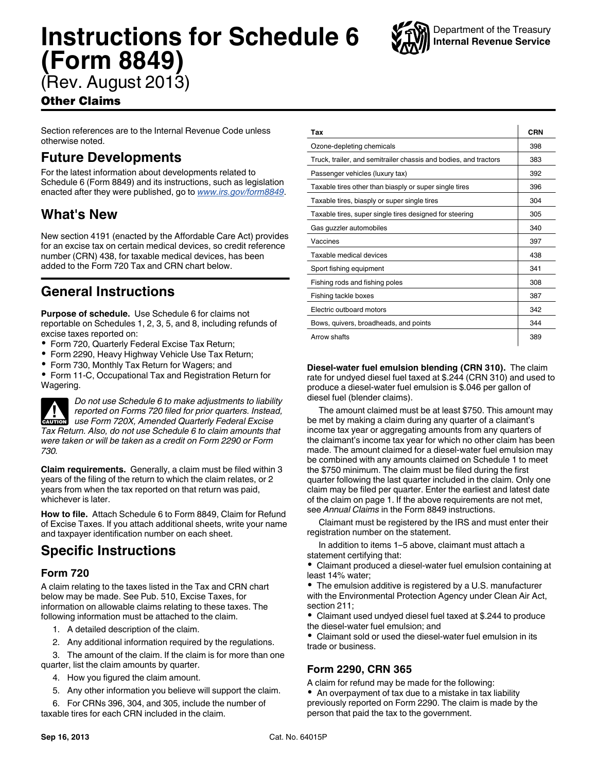# **Instructions for Schedule 6 (Form 8849)**



(Rev. August 2013)

### Other Claims

Section references are to the Internal Revenue Code unless otherwise noted.

### **Future Developments**

For the latest information about developments related to Schedule 6 (Form 8849) and its instructions, such as legislation enacted after they were published, go to *[www.irs.gov/form8849](http://www.irs.gov/form8849)*.

## **What's New**

New section 4191 (enacted by the Affordable Care Act) provides for an excise tax on certain medical devices, so credit reference number (CRN) 438, for taxable medical devices, has been added to the Form 720 Tax and CRN chart below.

## **General Instructions**

**Purpose of schedule.** Use Schedule 6 for claims not reportable on Schedules 1, 2, 3, 5, and 8, including refunds of excise taxes reported on:

- Form 720, Quarterly Federal Excise Tax Return;
- Form 2290, Heavy Highway Vehicle Use Tax Return;
- Form 730, Monthly Tax Return for Wagers; and

Form 11-C, Occupational Tax and Registration Return for Wagering.

*Do not use Schedule 6 to make adjustments to liability reported on Forms 720 filed for prior quarters. Instead, use Form 720X, Amended Quarterly Federal Excise Tax Return. Also, do not use Schedule 6 to claim amounts that were taken or will be taken as a credit on Form 2290 or Form 730.* **CAUTION !**

**Claim requirements.** Generally, a claim must be filed within 3 years of the filing of the return to which the claim relates, or 2 years from when the tax reported on that return was paid, whichever is later.

**How to file.** Attach Schedule 6 to Form 8849, Claim for Refund of Excise Taxes. If you attach additional sheets, write your name and taxpayer identification number on each sheet.

# **Specific Instructions**

#### **Form 720**

A claim relating to the taxes listed in the Tax and CRN chart below may be made. See Pub. 510, Excise Taxes, for information on allowable claims relating to these taxes. The following information must be attached to the claim.

- 1. A detailed description of the claim.
- 2. Any additional information required by the regulations.

3. The amount of the claim. If the claim is for more than one quarter, list the claim amounts by quarter.

- 4. How you figured the claim amount.
- 5. Any other information you believe will support the claim.

6. For CRNs 396, 304, and 305, include the number of taxable tires for each CRN included in the claim.

| Tax                                                              | CRN |
|------------------------------------------------------------------|-----|
| Ozone-depleting chemicals                                        | 398 |
| Truck, trailer, and semitrailer chassis and bodies, and tractors | 383 |
| Passenger vehicles (luxury tax)                                  | 392 |
| Taxable tires other than biasply or super single tires           | 396 |
| Taxable tires, biasply or super single tires                     | 304 |
| Taxable tires, super single tires designed for steering          | 305 |
| Gas guzzler automobiles                                          | 340 |
| Vaccines                                                         | 397 |
| Taxable medical devices                                          | 438 |
| Sport fishing equipment                                          | 341 |
| Fishing rods and fishing poles                                   | 308 |
| Fishing tackle boxes                                             | 387 |
| Electric outboard motors                                         | 342 |
| Bows, quivers, broadheads, and points                            | 344 |
| Arrow shafts                                                     | 389 |

**Diesel-water fuel emulsion blending (CRN 310).** The claim rate for undyed diesel fuel taxed at \$.244 (CRN 310) and used to produce a diesel-water fuel emulsion is \$.046 per gallon of diesel fuel (blender claims).

The amount claimed must be at least \$750. This amount may be met by making a claim during any quarter of a claimant's income tax year or aggregating amounts from any quarters of the claimant's income tax year for which no other claim has been made. The amount claimed for a diesel-water fuel emulsion may be combined with any amounts claimed on Schedule 1 to meet the \$750 minimum. The claim must be filed during the first quarter following the last quarter included in the claim. Only one claim may be filed per quarter. Enter the earliest and latest date of the claim on page 1. If the above requirements are not met, see *Annual Claims* in the Form 8849 instructions.

Claimant must be registered by the IRS and must enter their registration number on the statement.

In addition to items 1–5 above, claimant must attach a statement certifying that:

Claimant produced a diesel-water fuel emulsion containing at least 14% water;

The emulsion additive is registered by a U.S. manufacturer with the Environmental Protection Agency under Clean Air Act, section 211;

Claimant used undyed diesel fuel taxed at \$.244 to produce the diesel-water fuel emulsion; and

Claimant sold or used the diesel-water fuel emulsion in its trade or business.

### **Form 2290, CRN 365**

A claim for refund may be made for the following:

An overpayment of tax due to a mistake in tax liability previously reported on Form 2290. The claim is made by the person that paid the tax to the government.